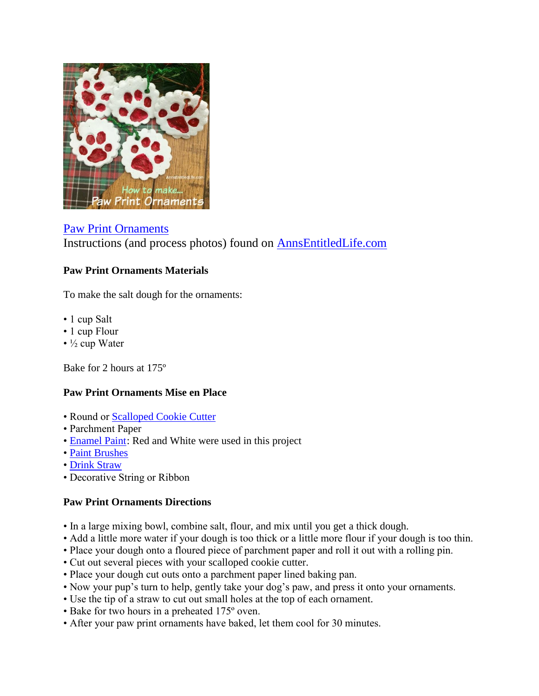

[Paw Print Ornaments](http://www.annsentitledlife.com/holidays/paw-print-ornaments/) Instructions (and process photos) found on [AnnsEntitledLife.com](http://www.annsentitledlife.com/holidays/paw-print-ornaments/)

## **Paw Print Ornaments Materials**

To make the salt dough for the ornaments:

- 1 cup Salt
- 1 cup Flour
- ½ cup Water

Bake for 2 hours at 175º

## **Paw Print Ornaments Mise en Place**

- Round or [Scalloped Cookie Cutter](http://www.amazon.com/Norpro-3490-Scallop-Biscuit-Metallic/dp/B000SSX0WE/?_encoding=UTF8&camp=1789&creative=9325&linkCode=ur2&tag=coudeaandmor-20&linkId=KRJOYRRZUDPVJFIO)
- Parchment Paper
- • [Enamel Paint:](http://www.amazon.com/FOLKART-Plaid-Multi-Surface-12-Color-Paint/dp/B00I9WM69O/?_encoding=UTF8&camp=1789&creative=9325&linkCode=ur2&tag=coudeaandmor-20&linkId=L3OH2VYTGDEXB65D) Red and White were used in this project
- • [Paint Brushes](http://www.amazon.com/gp/product/B000WOTCXA/?ie=UTF8&camp=1789&creative=9325&linkCode=ur2&tag=coudeaandmor-20&linkId=IV4RYN5FNYPGYNF3)
- • [Drink Straw](http://www.amazon.com/s/?_encoding=UTF8&camp=1789&creative=9325&field-keywords=drink%20straw&linkCode=ur2&tag=coudeaandmor-20&url=search-alias%3Dkitchen&linkId=RZ3PJCNF6H7DSHEE)
- Decorative String or Ribbon

## **Paw Print Ornaments Directions**

- In a large mixing bowl, combine salt, flour, and mix until you get a thick dough.
- Add a little more water if your dough is too thick or a little more flour if your dough is too thin.
- Place your dough onto a floured piece of parchment paper and roll it out with a rolling pin.
- Cut out several pieces with your scalloped cookie cutter.
- Place your dough cut outs onto a parchment paper lined baking pan.
- Now your pup's turn to help, gently take your dog's paw, and press it onto your ornaments.
- Use the tip of a straw to cut out small holes at the top of each ornament.
- Bake for two hours in a preheated 175º oven.
- After your paw print ornaments have baked, let them cool for 30 minutes.